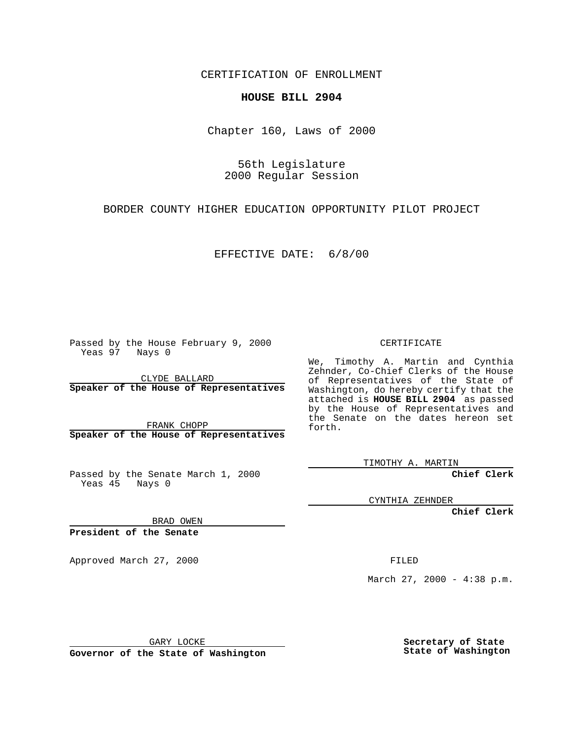CERTIFICATION OF ENROLLMENT

## **HOUSE BILL 2904**

Chapter 160, Laws of 2000

56th Legislature 2000 Regular Session

BORDER COUNTY HIGHER EDUCATION OPPORTUNITY PILOT PROJECT

EFFECTIVE DATE: 6/8/00

Passed by the House February 9, 2000 Yeas 97 Nays 0

CLYDE BALLARD **Speaker of the House of Representatives**

FRANK CHOPP **Speaker of the House of Representatives**

Passed by the Senate March 1, 2000 Yeas 45 Nays 0

CERTIFICATE

We, Timothy A. Martin and Cynthia Zehnder, Co-Chief Clerks of the House of Representatives of the State of Washington, do hereby certify that the attached is **HOUSE BILL 2904** as passed by the House of Representatives and the Senate on the dates hereon set forth.

TIMOTHY A. MARTIN

**Chief Clerk**

CYNTHIA ZEHNDER

**Chief Clerk**

BRAD OWEN

**President of the Senate**

Approved March 27, 2000 FILED

March 27, 2000 - 4:38 p.m.

GARY LOCKE

**Governor of the State of Washington**

**Secretary of State State of Washington**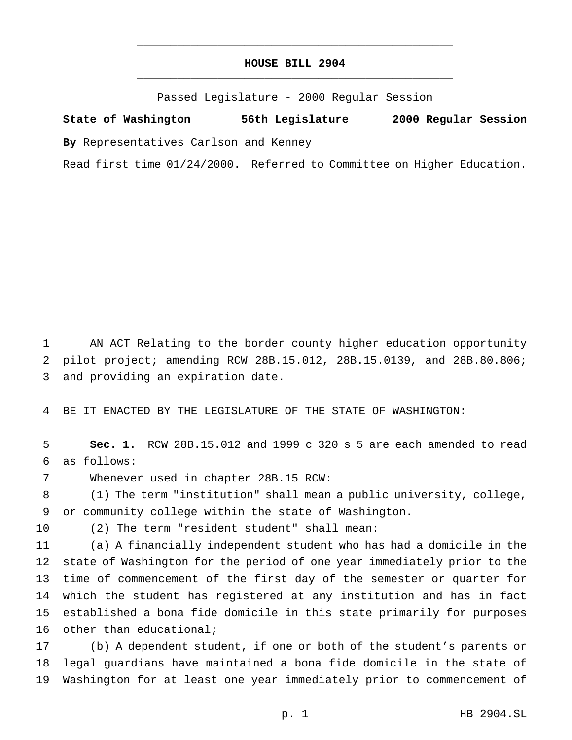## **HOUSE BILL 2904** \_\_\_\_\_\_\_\_\_\_\_\_\_\_\_\_\_\_\_\_\_\_\_\_\_\_\_\_\_\_\_\_\_\_\_\_\_\_\_\_\_\_\_\_\_\_\_

\_\_\_\_\_\_\_\_\_\_\_\_\_\_\_\_\_\_\_\_\_\_\_\_\_\_\_\_\_\_\_\_\_\_\_\_\_\_\_\_\_\_\_\_\_\_\_

Passed Legislature - 2000 Regular Session

**State of Washington 56th Legislature 2000 Regular Session By** Representatives Carlson and Kenney

Read first time 01/24/2000. Referred to Committee on Higher Education.

 AN ACT Relating to the border county higher education opportunity pilot project; amending RCW 28B.15.012, 28B.15.0139, and 28B.80.806; and providing an expiration date.

BE IT ENACTED BY THE LEGISLATURE OF THE STATE OF WASHINGTON:

 **Sec. 1.** RCW 28B.15.012 and 1999 c 320 s 5 are each amended to read as follows:

Whenever used in chapter 28B.15 RCW:

 (1) The term "institution" shall mean a public university, college, or community college within the state of Washington.

(2) The term "resident student" shall mean:

 (a) A financially independent student who has had a domicile in the state of Washington for the period of one year immediately prior to the time of commencement of the first day of the semester or quarter for which the student has registered at any institution and has in fact established a bona fide domicile in this state primarily for purposes other than educational;

 (b) A dependent student, if one or both of the student's parents or legal guardians have maintained a bona fide domicile in the state of Washington for at least one year immediately prior to commencement of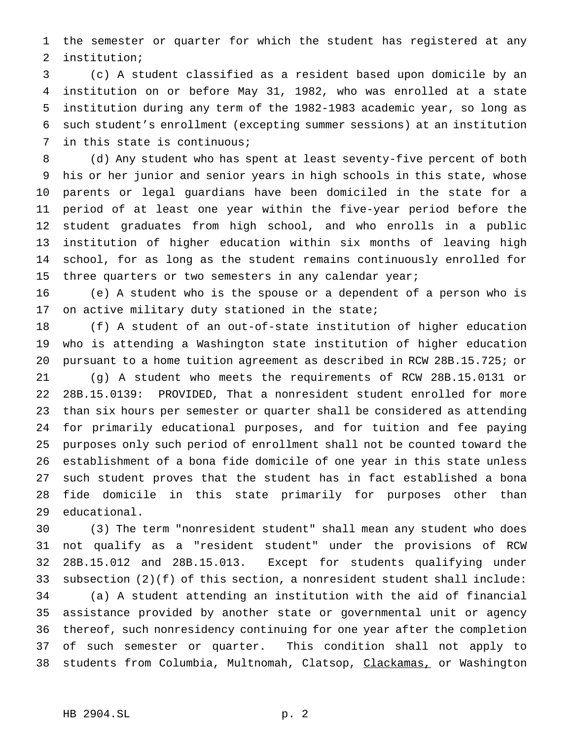the semester or quarter for which the student has registered at any institution;

 (c) A student classified as a resident based upon domicile by an institution on or before May 31, 1982, who was enrolled at a state institution during any term of the 1982-1983 academic year, so long as such student's enrollment (excepting summer sessions) at an institution in this state is continuous;

 (d) Any student who has spent at least seventy-five percent of both his or her junior and senior years in high schools in this state, whose parents or legal guardians have been domiciled in the state for a period of at least one year within the five-year period before the student graduates from high school, and who enrolls in a public institution of higher education within six months of leaving high school, for as long as the student remains continuously enrolled for 15 three quarters or two semesters in any calendar year;

 (e) A student who is the spouse or a dependent of a person who is 17 on active military duty stationed in the state;

 (f) A student of an out-of-state institution of higher education who is attending a Washington state institution of higher education pursuant to a home tuition agreement as described in RCW 28B.15.725; or (g) A student who meets the requirements of RCW 28B.15.0131 or 28B.15.0139: PROVIDED, That a nonresident student enrolled for more than six hours per semester or quarter shall be considered as attending for primarily educational purposes, and for tuition and fee paying purposes only such period of enrollment shall not be counted toward the establishment of a bona fide domicile of one year in this state unless such student proves that the student has in fact established a bona fide domicile in this state primarily for purposes other than educational.

 (3) The term "nonresident student" shall mean any student who does not qualify as a "resident student" under the provisions of RCW 28B.15.012 and 28B.15.013. Except for students qualifying under subsection (2)(f) of this section, a nonresident student shall include: (a) A student attending an institution with the aid of financial assistance provided by another state or governmental unit or agency thereof, such nonresidency continuing for one year after the completion of such semester or quarter. This condition shall not apply to 38 students from Columbia, Multnomah, Clatsop, Clackamas, or Washington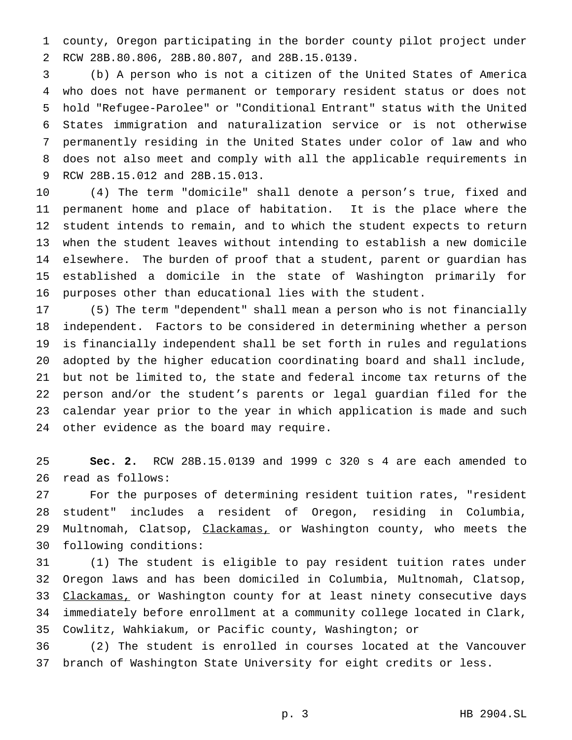county, Oregon participating in the border county pilot project under RCW 28B.80.806, 28B.80.807, and 28B.15.0139.

 (b) A person who is not a citizen of the United States of America who does not have permanent or temporary resident status or does not hold "Refugee-Parolee" or "Conditional Entrant" status with the United States immigration and naturalization service or is not otherwise permanently residing in the United States under color of law and who does not also meet and comply with all the applicable requirements in RCW 28B.15.012 and 28B.15.013.

 (4) The term "domicile" shall denote a person's true, fixed and permanent home and place of habitation. It is the place where the student intends to remain, and to which the student expects to return when the student leaves without intending to establish a new domicile elsewhere. The burden of proof that a student, parent or guardian has established a domicile in the state of Washington primarily for purposes other than educational lies with the student.

 (5) The term "dependent" shall mean a person who is not financially independent. Factors to be considered in determining whether a person is financially independent shall be set forth in rules and regulations adopted by the higher education coordinating board and shall include, but not be limited to, the state and federal income tax returns of the person and/or the student's parents or legal guardian filed for the calendar year prior to the year in which application is made and such other evidence as the board may require.

 **Sec. 2.** RCW 28B.15.0139 and 1999 c 320 s 4 are each amended to read as follows:

 For the purposes of determining resident tuition rates, "resident student" includes a resident of Oregon, residing in Columbia, 29 Multnomah, Clatsop, Clackamas, or Washington county, who meets the following conditions:

 (1) The student is eligible to pay resident tuition rates under Oregon laws and has been domiciled in Columbia, Multnomah, Clatsop, 33 Clackamas, or Washington county for at least ninety consecutive days immediately before enrollment at a community college located in Clark, Cowlitz, Wahkiakum, or Pacific county, Washington; or

 (2) The student is enrolled in courses located at the Vancouver branch of Washington State University for eight credits or less.